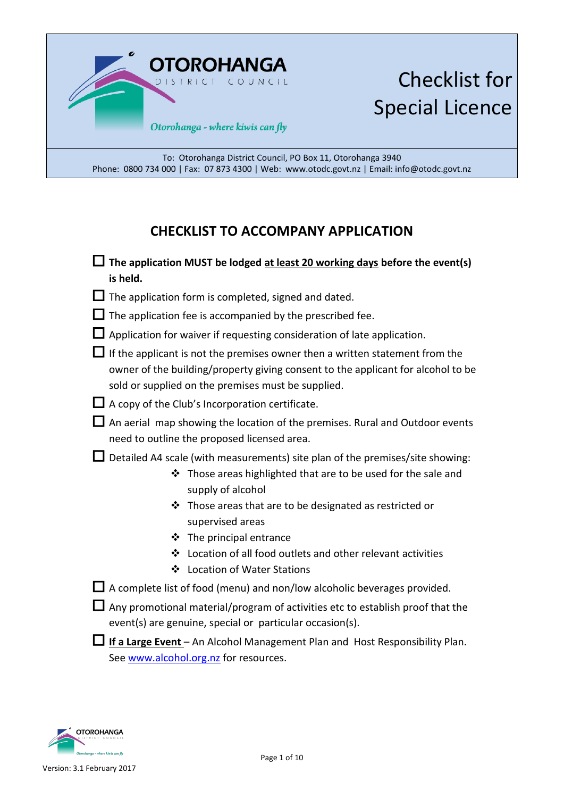

# Checklist for Special Licence

To: Otorohanga District Council, PO Box 11, Otorohanga 3940 Phone: 0800 734 000 | Fax: 07 873 4300 | Web: www.otodc.govt.nz | Email: info@otodc.govt.nz

### **CHECKLIST TO ACCOMPANY APPLICATION**

- **The application MUST be lodged at least 20 working days before the event(s) is held.**
- $\Box$  The application form is completed, signed and dated.
- $\Box$  The application fee is accompanied by the prescribed fee.
- $\Box$  Application for waiver if requesting consideration of late application.
- $\Box$  If the applicant is not the premises owner then a written statement from the owner of the building/property giving consent to the applicant for alcohol to be sold or supplied on the premises must be supplied.
- $\Box$  A copy of the Club's Incorporation certificate.
- $\Box$  An aerial map showing the location of the premises. Rural and Outdoor events need to outline the proposed licensed area.
- $\square$  Detailed A4 scale (with measurements) site plan of the premises/site showing:
	- $\cdot$  Those areas highlighted that are to be used for the sale and supply of alcohol
	- $\cdot$  Those areas that are to be designated as restricted or supervised areas
	- **❖** The principal entrance
	- Location of all food outlets and other relevant activities
	- Location of Water Stations
- $\Box$  A complete list of food (menu) and non/low alcoholic beverages provided.
- $\Box$  Any promotional material/program of activities etc to establish proof that the event(s) are genuine, special or particular occasion(s).
- **If a Large Event** An Alcohol Management Plan and Host Responsibility Plan. See [www.alcohol.org.nz](http://www.alcohol.org.nz/) for resources.

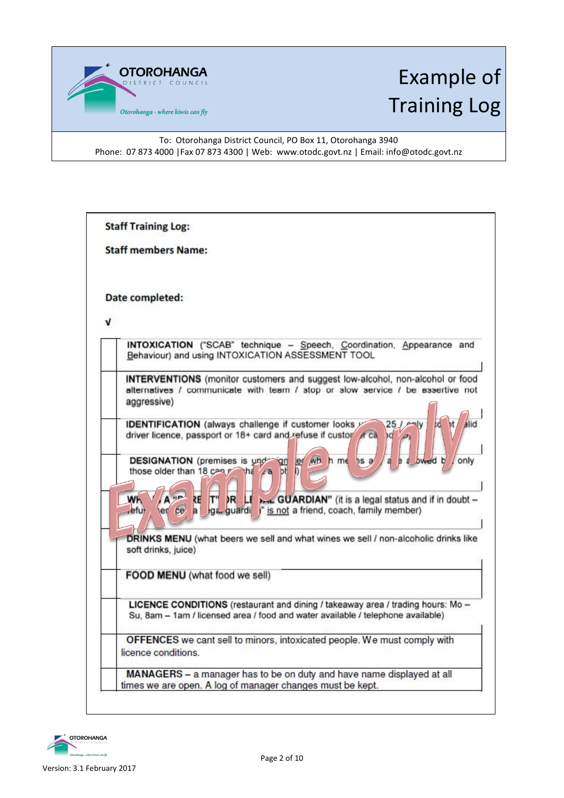

# Example of Training Log

To: Otorohanga District Council, PO Box 11, Otorohanga 3940 Phone: 07 873 4000 | Fax 07 873 4300 | Web: www.otodc.govt.nz | Email: info@otodc.govt.nz

|   | <b>Staff members Name:</b>                                                                                                                                                                                                                        |
|---|---------------------------------------------------------------------------------------------------------------------------------------------------------------------------------------------------------------------------------------------------|
|   | Date completed:                                                                                                                                                                                                                                   |
| v |                                                                                                                                                                                                                                                   |
|   | INTOXICATION ("SCAB" technique - Speech, Coordination, Appearance and<br>Behaviour) and using INTOXICATION ASSESSMENT TOOL                                                                                                                        |
|   | <b>INTERVENTIONS</b> (monitor customers and suggest low-alcohol, non-alcohol or food<br>alternatives / communicate with team / stop or slow service / be assertive not<br>aggressive)                                                             |
|   | <b>IDENTIFICATION</b> (always challenge if customer looks y<br>alid<br>driver licence, passport or 18+ card and refuse if custor et ca<br><b>DESIGNATION</b> (premises is und<br>WH<br>le<br>h me<br>only<br>np<br>those older than 18 cany<br>bt |
|   | WF<br>er ce<br>$\overline{a}$<br>refu)                                                                                                                                                                                                            |
|   | DRINKS MENU (what beers we sell and what wines we sell / non-alcoholic drinks like<br>soft drinks, juice)                                                                                                                                         |
|   | FOOD MENU (what food we sell)                                                                                                                                                                                                                     |
|   | LICENCE CONDITIONS (restaurant and dining / takeaway area / trading hours: Mo -<br>Su, 8am - 1am / licensed area / food and water available / telephone available)                                                                                |
|   | OFFENCES we cant sell to minors, intoxicated people. We must comply with<br>licence conditions.                                                                                                                                                   |
|   | MANAGERS - a manager has to be on duty and have name displayed at all<br>times we are open. A log of manager changes must be kept.                                                                                                                |

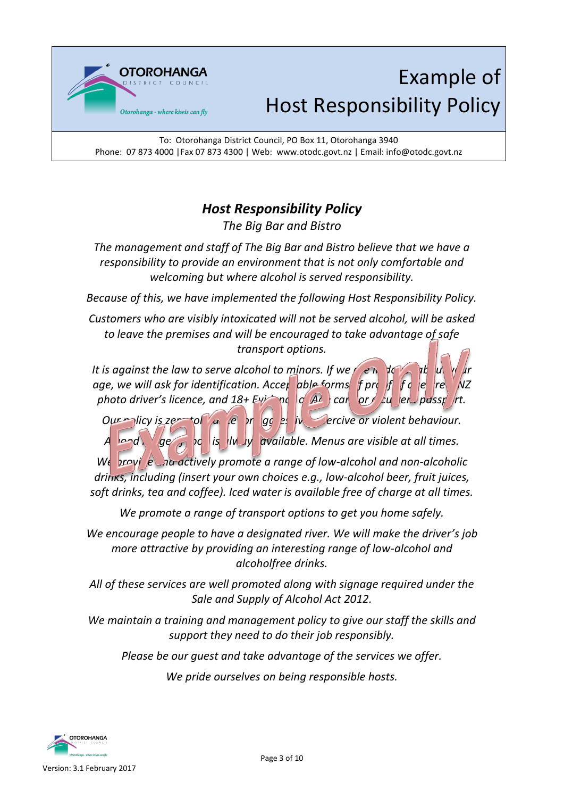

# Example of Host Responsibility Policy

To: Otorohanga District Council, PO Box 11, Otorohanga 3940 Phone: 07 873 4000 |Fax 07 873 4300 | Web: www.otodc.govt.nz | Email: info@otodc.govt.nz

## *Host Responsibility Policy*

*The Big Bar and Bistro*

*The management and staff of The Big Bar and Bistro believe that we have a responsibility to provide an environment that is not only comfortable and welcoming but where alcohol is served responsibility.* 

*Because of this, we have implemented the following Host Responsibility Policy.* 

*Customers who are visibly intoxicated will not be served alcohol, will be asked to leave the premises and will be encouraged to take advantage of safe transport options.*

*It is against the law to serve alcohol to minors. If we are down if underlying age, we will ask for identification. Accep able forms f prof f q e re NZ photo driver's licence, and*  $18+ Ev$  ne  $\left| \int_a^b A \right|$  care or  $\int_a^b u \, dv$  erg passport.

*Our* plicy is zero to the *ager* of a *dept ager for ager for a germance for violent behaviour.* A <sub>land</sub> ge of is lively available. Menus are visible at all times.

*We provide and actively promote a range of low-alcohol and non-alcoholic drinks, including (insert your own choices e.g., low-alcohol beer, fruit juices, soft drinks, tea and coffee). Iced water is available free of charge at all times.*

*We promote a range of transport options to get you home safely.*

*We encourage people to have a designated river. We will make the driver's job more attractive by providing an interesting range of low-alcohol and alcoholfree drinks.*

*All of these services are well promoted along with signage required under the Sale and Supply of Alcohol Act 2012.*

*We maintain a training and management policy to give our staff the skills and support they need to do their job responsibly.*

*Please be our guest and take advantage of the services we offer.*

*We pride ourselves on being responsible hosts.*

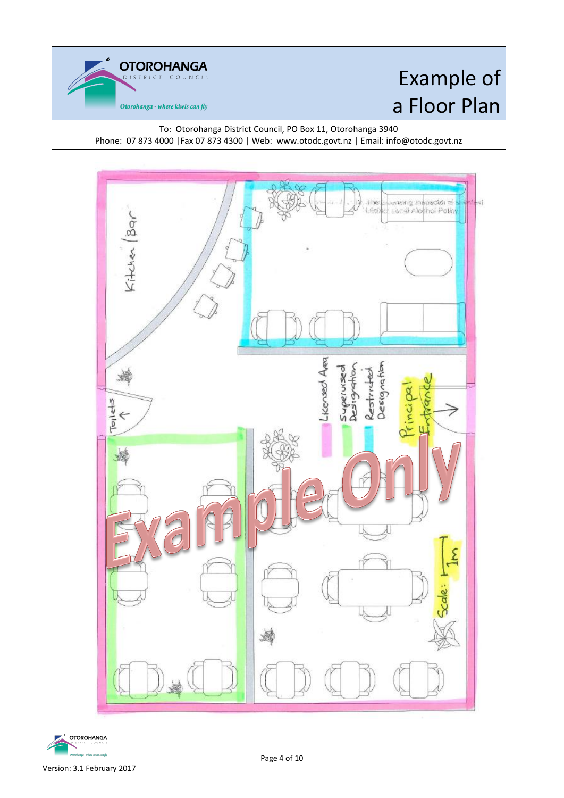**OTOROHANGA** Otorohanga - where kiwis can fly

# Example of a Floor Plan

To: Otorohanga District Council, PO Box 11, Otorohanga 3940 Phone: 07 873 4000 |Fax 07 873 4300 | Web: www.otodc.govt.nz | Email: info@otodc.govt.nz



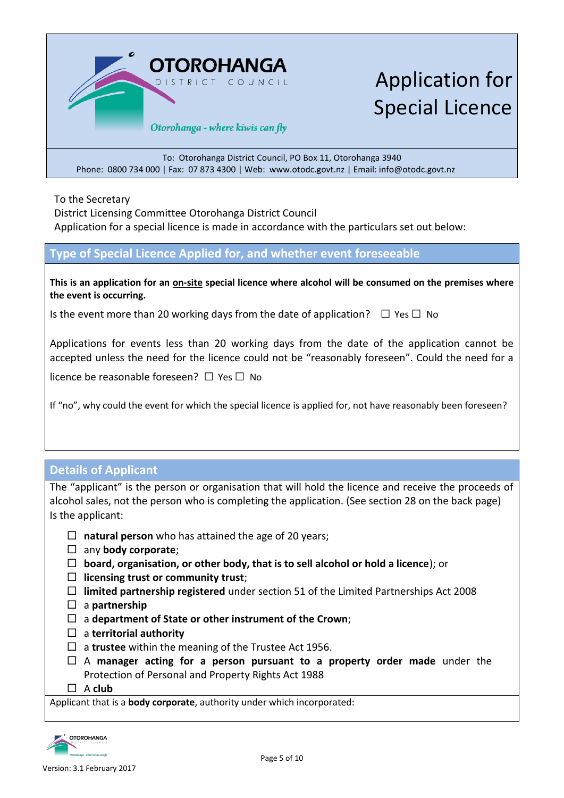

Application for Special Licence

To: Otorohanga District Council, PO Box 11, Otorohanga 3940 Phone: 0800 734 000 | Fax: 07 873 4300 | Web: www.otodc.govt.nz | Email: info@otodc.govt.nz

To the Secretary

District Licensing Committee Otorohanga District Council Application for a special licence is made in accordance with the particulars set out below:

#### **Type of Special Licence Applied for, and whether event foreseeable**

**This is an application for an on-site special licence where alcohol will be consumed on the premises where the event is occurring.**

Is the event more than 20 working days from the date of application?  $\Box$  Yes  $\Box$  No

Applications for events less than 20 working days from the date of the application cannot be accepted unless the need for the licence could not be "reasonably foreseen". Could the need for a

licence be reasonable foreseen?  $\Box$  Yes  $\Box$  No

If "no", why could the event for which the special licence is applied for, not have reasonably been foreseen?

### **Details of Applicant**

The "applicant" is the person or organisation that will hold the licence and receive the proceeds of alcohol sales, not the person who is completing the application. (See section 28 on the back page) Is the applicant:

- **natural person** who has attained the age of 20 years;
- any **body corporate**;
- **board, organisation, or other body, that is to sell alcohol or hold a licence**); or
- **licensing trust or community trust**;
- **limited partnership registered** under [section 51](http://www.legislation.govt.nz/act/public/2012/0120/latest/link.aspx?search=ts_act%40bill%40regulation%40deemedreg_alcohol_resel_25_a&p=1&id=DLM1139205) of the Limited Partnerships Act 2008
- a **partnership**
- a **department of State or other instrument of the Crown**;
- a **territorial authority**
- □ a **trustee** within the meaning of the [Trustee Act 1956.](http://www.legislation.govt.nz/act/public/2012/0120/latest/link.aspx?search=ts_act%40bill%40regulation%40deemedreg_alcohol_resel_25_a&p=1&id=DLM304703)
- A **manager acting for a person pursuant to a property order made** under the [Protection of Personal and Property Rights Act 1988](http://www.legislation.govt.nz/act/public/2012/0120/latest/link.aspx?search=ts_act%40bill%40regulation%40deemedreg_alcohol_resel_25_a&p=1&id=DLM126527)
- A **club**

Applicant that is a **body corporate**, authority under which incorporated:

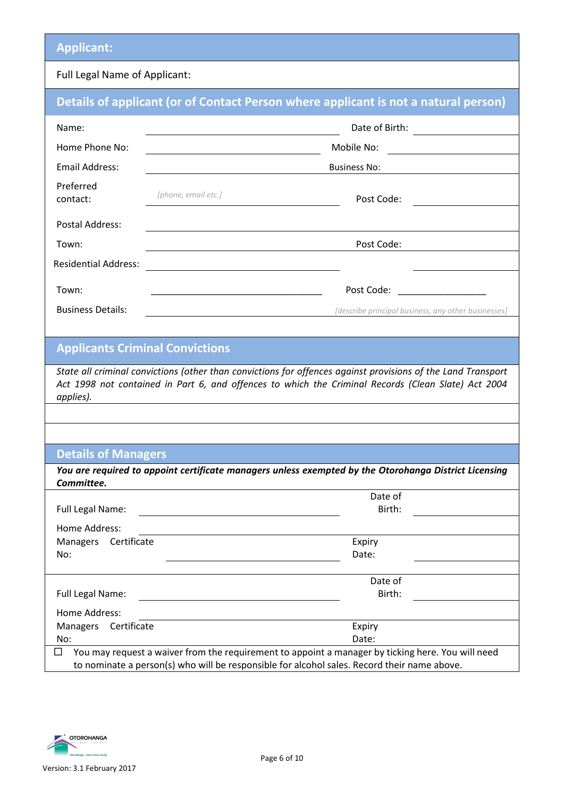### **Applicant:**

### Full Legal Name of Applicant:

|                                          |                                                                                                                                                                                                                     | Details of applicant (or of Contact Person where applicant is not a natural person)                           |  |  |
|------------------------------------------|---------------------------------------------------------------------------------------------------------------------------------------------------------------------------------------------------------------------|---------------------------------------------------------------------------------------------------------------|--|--|
| Name:                                    |                                                                                                                                                                                                                     |                                                                                                               |  |  |
| Home Phone No:                           |                                                                                                                                                                                                                     | Mobile No:                                                                                                    |  |  |
| <b>Email Address:</b>                    | <b>Business No:</b>                                                                                                                                                                                                 |                                                                                                               |  |  |
| Preferred<br>contact:                    | [phone, email etc.]                                                                                                                                                                                                 | Post Code:                                                                                                    |  |  |
| <b>Postal Address:</b>                   |                                                                                                                                                                                                                     |                                                                                                               |  |  |
| Town:                                    |                                                                                                                                                                                                                     | Post Code:                                                                                                    |  |  |
| <b>Residential Address:</b>              |                                                                                                                                                                                                                     |                                                                                                               |  |  |
| Town:                                    | <u> 1989 - Jan James James James James James James James James James James James James James James James James J</u>                                                                                                | Post Code:<br><u> 1990 - Johann Barbara, martin a</u>                                                         |  |  |
| <b>Business Details:</b>                 |                                                                                                                                                                                                                     | <i>lescribe principal business, any other businesses]</i> [describe principal business, any other businesses] |  |  |
|                                          |                                                                                                                                                                                                                     |                                                                                                               |  |  |
| <b>Applicants Criminal Convictions</b>   |                                                                                                                                                                                                                     |                                                                                                               |  |  |
| applies).                                | State all criminal convictions (other than convictions for offences against provisions of the Land Transport<br>Act 1998 not contained in Part 6, and offences to which the Criminal Records (Clean Slate) Act 2004 |                                                                                                               |  |  |
|                                          |                                                                                                                                                                                                                     |                                                                                                               |  |  |
|                                          |                                                                                                                                                                                                                     |                                                                                                               |  |  |
| <b>Details of Managers</b>               |                                                                                                                                                                                                                     |                                                                                                               |  |  |
| Committee.                               |                                                                                                                                                                                                                     | You are required to appoint certificate managers unless exempted by the Otorohanga District Licensing         |  |  |
|                                          |                                                                                                                                                                                                                     | Date of                                                                                                       |  |  |
| Full Legal Name:                         |                                                                                                                                                                                                                     | Birth:                                                                                                        |  |  |
| Home Address:<br>Certificate<br>Managers |                                                                                                                                                                                                                     | Expiry                                                                                                        |  |  |
| No:                                      |                                                                                                                                                                                                                     | Date:                                                                                                         |  |  |
|                                          |                                                                                                                                                                                                                     |                                                                                                               |  |  |
| Full Legal Name:                         |                                                                                                                                                                                                                     | Date of<br>Birth:                                                                                             |  |  |
| Home Address:                            |                                                                                                                                                                                                                     |                                                                                                               |  |  |
| Managers Certificate                     |                                                                                                                                                                                                                     | Expiry                                                                                                        |  |  |
| No:                                      |                                                                                                                                                                                                                     | Date:                                                                                                         |  |  |

 $\Box$  You may request a waiver from the requirement to appoint a manager by ticking here. You will need to nominate a person(s) who will be responsible for alcohol sales. Record their name above.

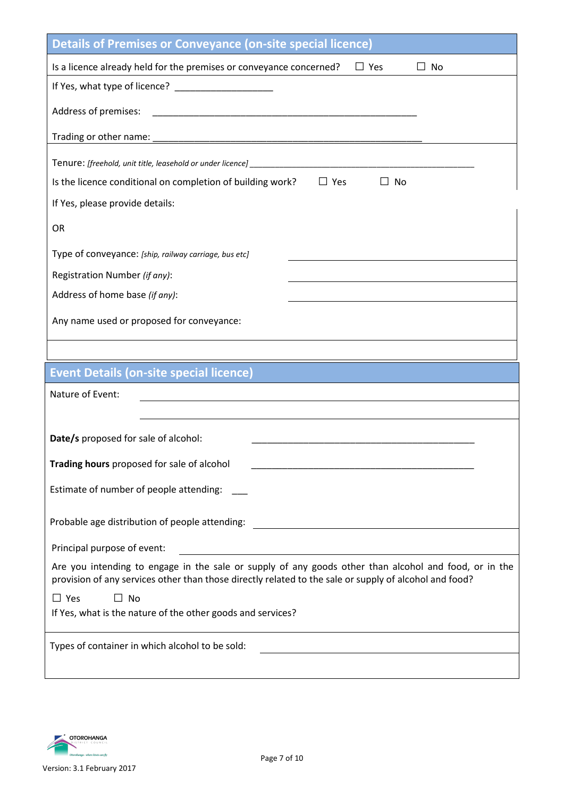| <b>Details of Premises or Conveyance (on-site special licence)</b>                                                                                                                                              |
|-----------------------------------------------------------------------------------------------------------------------------------------------------------------------------------------------------------------|
| Is a licence already held for the premises or conveyance concerned?<br>$\Box$ Yes<br><b>No</b><br>$\perp$                                                                                                       |
|                                                                                                                                                                                                                 |
| Address of premises:                                                                                                                                                                                            |
|                                                                                                                                                                                                                 |
| Tenure: [freehold, unit title, leasehold or under licence] ______________________                                                                                                                               |
| Is the licence conditional on completion of building work?<br>$\Box$ Yes<br>$\perp$<br><b>No</b>                                                                                                                |
| If Yes, please provide details:                                                                                                                                                                                 |
| <b>OR</b>                                                                                                                                                                                                       |
| Type of conveyance: [ship, railway carriage, bus etc]                                                                                                                                                           |
| Registration Number (if any):                                                                                                                                                                                   |
| Address of home base (if any):                                                                                                                                                                                  |
| Any name used or proposed for conveyance:                                                                                                                                                                       |
|                                                                                                                                                                                                                 |
|                                                                                                                                                                                                                 |
| <b>Event Details (on-site special licence)</b>                                                                                                                                                                  |
| Nature of Event:                                                                                                                                                                                                |
|                                                                                                                                                                                                                 |
| Date/s proposed for sale of alcohol:                                                                                                                                                                            |
| Trading hours proposed for sale of alcohol                                                                                                                                                                      |
| Estimate of number of people attending:                                                                                                                                                                         |
| Probable age distribution of people attending:                                                                                                                                                                  |
| Principal purpose of event:<br><u> 1980 - Jan Stein Stein, fransk politik (f. 1980)</u>                                                                                                                         |
| Are you intending to engage in the sale or supply of any goods other than alcohol and food, or in the<br>provision of any services other than those directly related to the sale or supply of alcohol and food? |
| $\Box$ No<br>$\Box$ Yes                                                                                                                                                                                         |
| If Yes, what is the nature of the other goods and services?                                                                                                                                                     |
| Types of container in which alcohol to be sold:                                                                                                                                                                 |

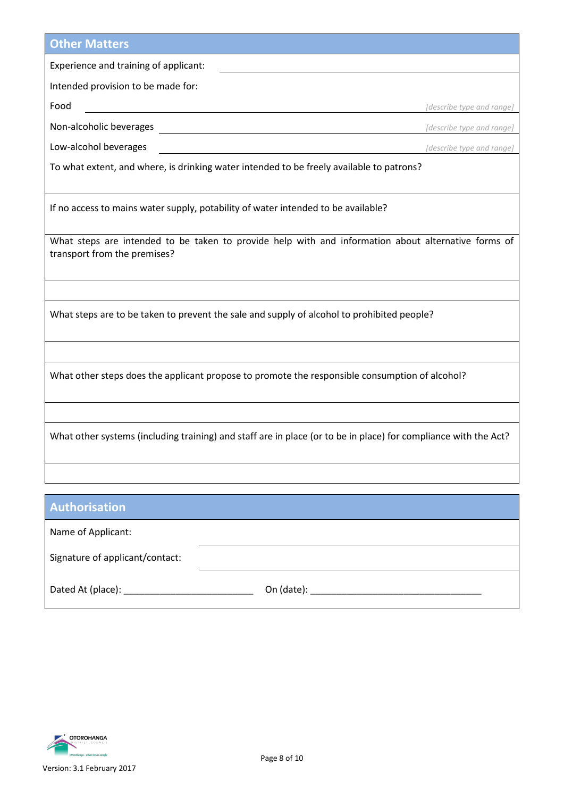| <b>Other Matters</b>                                                                                                                |                           |  |  |
|-------------------------------------------------------------------------------------------------------------------------------------|---------------------------|--|--|
| Experience and training of applicant:                                                                                               |                           |  |  |
| Intended provision to be made for:                                                                                                  |                           |  |  |
| Food                                                                                                                                | [describe type and range] |  |  |
| Non-alcoholic beverages                                                                                                             | [describe type and range] |  |  |
| Low-alcohol beverages                                                                                                               | [describe type and range] |  |  |
| To what extent, and where, is drinking water intended to be freely available to patrons?                                            |                           |  |  |
|                                                                                                                                     |                           |  |  |
| If no access to mains water supply, potability of water intended to be available?                                                   |                           |  |  |
|                                                                                                                                     |                           |  |  |
| What steps are intended to be taken to provide help with and information about alternative forms of<br>transport from the premises? |                           |  |  |
|                                                                                                                                     |                           |  |  |
|                                                                                                                                     |                           |  |  |
| What steps are to be taken to prevent the sale and supply of alcohol to prohibited people?                                          |                           |  |  |
|                                                                                                                                     |                           |  |  |
|                                                                                                                                     |                           |  |  |
| What other steps does the applicant propose to promote the responsible consumption of alcohol?                                      |                           |  |  |
|                                                                                                                                     |                           |  |  |
|                                                                                                                                     |                           |  |  |
| What other systems (including training) and staff are in place (or to be in place) for compliance with the Act?                     |                           |  |  |
|                                                                                                                                     |                           |  |  |
|                                                                                                                                     |                           |  |  |
| Authorication                                                                                                                       |                           |  |  |

| <b>MULLIULISALIUIL</b>          |            |  |
|---------------------------------|------------|--|
| Name of Applicant:              |            |  |
| Signature of applicant/contact: |            |  |
| Dated At (place):               | On (date): |  |

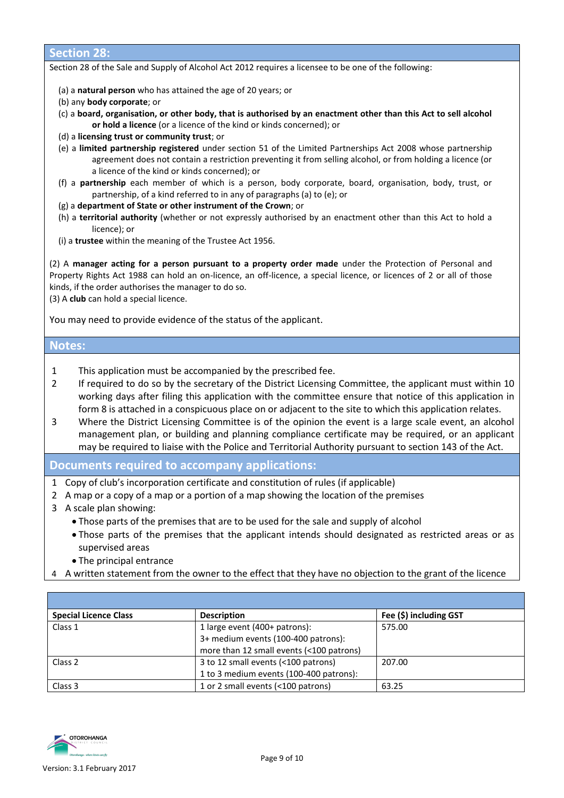#### **Section 28:**

Section 28 of the Sale and Supply of Alcohol Act 2012 requires a licensee to be one of the following:

- (a) a **natural person** who has attained the age of 20 years; or
- (b) any **body corporate**; or
- (c) a **board, organisation, or other body, that is authorised by an enactment other than this Act to sell alcohol or hold a licence** (or a licence of the kind or kinds concerned); or
- (d) a **licensing trust or community trust**; or
- (e) a **limited partnership registered** under [section 51](http://www.legislation.govt.nz/act/public/2012/0120/latest/link.aspx?search=ts_act%40bill%40regulation%40deemedreg_alcohol_resel_25_a&p=1&id=DLM1139205) of the Limited Partnerships Act 2008 whose partnership agreement does not contain a restriction preventing it from selling alcohol, or from holding a licence (or a licence of the kind or kinds concerned); or
- (f) a **partnership** each member of which is a person, body corporate, board, organisation, body, trust, or partnership, of a kind referred to in any of paragraphs (a) to (e); or
- (g) a **department of State or other instrument of the Crown**; or
- (h) a **territorial authority** (whether or not expressly authorised by an enactment other than this Act to hold a licence); or
- (i) a **trustee** within the meaning of the [Trustee Act 1956.](http://www.legislation.govt.nz/act/public/2012/0120/latest/link.aspx?search=ts_act%40bill%40regulation%40deemedreg_alcohol_resel_25_a&p=1&id=DLM304703)

(2) A **manager acting for a person pursuant to a property order made** under the [Protection of Personal and](http://www.legislation.govt.nz/act/public/2012/0120/latest/link.aspx?search=ts_act%40bill%40regulation%40deemedreg_alcohol_resel_25_a&p=1&id=DLM126527)  [Property Rights Act 1988](http://www.legislation.govt.nz/act/public/2012/0120/latest/link.aspx?search=ts_act%40bill%40regulation%40deemedreg_alcohol_resel_25_a&p=1&id=DLM126527) can hold an on-licence, an off-licence, a special licence, or licences of 2 or all of those kinds, if the order authorises the manager to do so.

(3) A **club** can hold a special licence.

You may need to provide evidence of the status of the applicant.

#### **Notes:**

- 1 This application must be accompanied by the prescribed fee.
- 2 If required to do so by the secretary of the District Licensing Committee, the applicant must within 10 working days after filing this application with the committee ensure that notice of this application in form 8 is attached in a conspicuous place on or adjacent to the site to which this application relates.
- 3 Where the District Licensing Committee is of the opinion the event is a large scale event, an alcohol management plan, or building and planning compliance certificate may be required, or an applicant may be required to liaise with the Police and Territorial Authority pursuant to section 143 of the Act.

#### **Documents required to accompany applications:**

- 1 Copy of club's incorporation certificate and constitution of rules (if applicable)
- 2 A map or a copy of a map or a portion of a map showing the location of the premises
- 3 A scale plan showing:
	- Those parts of the premises that are to be used for the sale and supply of alcohol
	- Those parts of the premises that the applicant intends should designated as restricted areas or as supervised areas
	- The principal entrance
- 4 A written statement from the owner to the effect that they have no objection to the grant of the licence

| <b>Special Licence Class</b> | <b>Description</b>                       | Fee (\$) including GST |
|------------------------------|------------------------------------------|------------------------|
| Class 1                      | 1 large event (400+ patrons):            | 575.00                 |
|                              | 3+ medium events (100-400 patrons):      |                        |
|                              | more than 12 small events (<100 patrons) |                        |
| Class <sub>2</sub>           | 3 to 12 small events (<100 patrons)      | 207.00                 |
|                              | 1 to 3 medium events (100-400 patrons):  |                        |
| Class 3                      | 1 or 2 small events (<100 patrons)       | 63.25                  |